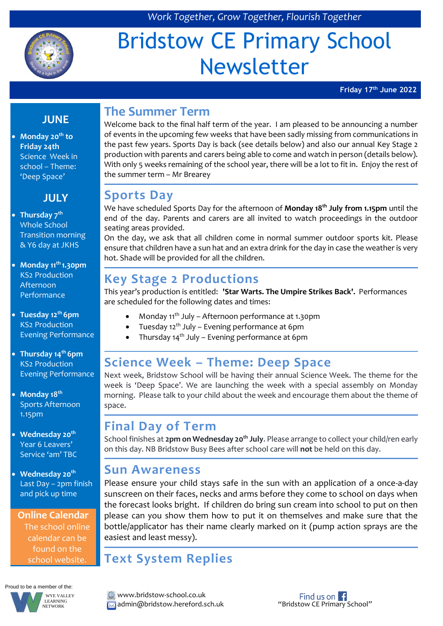

*Work Together, Grow Together, Flourish Together*

# Bridstow CE Primary School Newsletter

**Friday 17th June 2022**

#### **JUNE**

 **Monday 20th to Friday 24th** Science Week in school – Theme: 'Deep Space'

#### **JULY**

#### **Thursday 7th** Whole School Transition morning & Y6 day at JKHS

- **Monday 11th 1.30pm** KS2 Production Afternoon Performance
- **Tuesday 12th 6pm**  KS2 Production Evening Performance
- **Thursday 14th 6pm** KS2 Production Evening Performance
- **Monday 18th** Sports Afternoon 1.15pm
- **Wednesday 20th** Year 6 Leavers' Service 'am' TBC
- **Wednesday 20th** Last Day – 2pm finish and pick up time

**Online Calendar** The school online calendar can be found on the school website.



# **The Summer Term**

Welcome back to the final half term of the year. I am pleased to be announcing a number of events in the upcoming few weeks that have been sadly missing from communications in the past few years. Sports Day is back (see details below) and also our annual Key Stage 2 production with parents and carers being able to come and watch in person (details below). With only 5 weeks remaining of the school year, there will be a lot to fit in. Enjoy the rest of the summer term – Mr Brearey

#### **Sports Day**

We have scheduled Sports Day for the afternoon of **Monday 18th July from 1.15pm** until the end of the day. Parents and carers are all invited to watch proceedings in the outdoor seating areas provided.

On the day, we ask that all children come in normal summer outdoor sports kit. Please ensure that children have a sun hat and an extra drink for the day in case the weather is very hot. Shade will be provided for all the children.

### **Key Stage 2 Productions**

This year's production is entitled: **'Star Warts. The Umpire Strikes Back'.** Performances are scheduled for the following dates and times:

- Monday 11<sup>th</sup> July Afternoon performance at 1.30pm
- Tuesday 12th July Evening performance at 6pm
- Thursday  $14<sup>th</sup>$  July Evening performance at 6pm

# **Science Week – Theme: Deep Space**

Next week, Bridstow School will be having their annual Science Week. The theme for the week is 'Deep Space'. We are launching the week with a special assembly on Monday morning. Please talk to your child about the week and encourage them about the theme of space.

# **Final Day of Term**

School finishes at **2pm on Wednesday 20th July**. Please arrange to collect your child/ren early on this day. NB Bridstow Busy Bees after school care will **not** be held on this day.

#### **Sun Awareness**

Please ensure your child stays safe in the sun with an application of a once-a-day sunscreen on their faces, necks and arms before they come to school on days when the forecast looks bright. If children do bring sun cream into school to put on then please can you show them how to put it on themselves and make sure that the bottle/applicator has their name clearly marked on it (pump action sprays are the easiest and least messy).

#### **Text System Replies**

www.bridstow-school.co.uk **A** admin@bridstow.hereford.sch.uk "Bridstow CE Primary School"